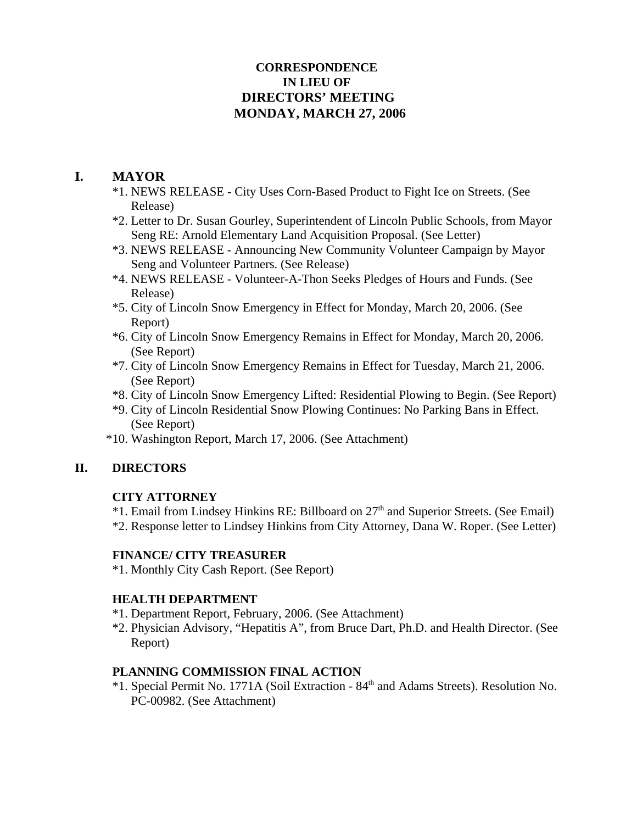## **CORRESPONDENCE IN LIEU OF DIRECTORS' MEETING MONDAY, MARCH 27, 2006**

# **I. MAYOR**

- \*1. NEWS RELEASE City Uses Corn-Based Product to Fight Ice on Streets. (See Release)
- \*2. Letter to Dr. Susan Gourley, Superintendent of Lincoln Public Schools, from Mayor Seng RE: Arnold Elementary Land Acquisition Proposal. (See Letter)
- \*3. NEWS RELEASE Announcing New Community Volunteer Campaign by Mayor Seng and Volunteer Partners. (See Release)
- \*4. NEWS RELEASE Volunteer-A-Thon Seeks Pledges of Hours and Funds. (See Release)
- \*5. City of Lincoln Snow Emergency in Effect for Monday, March 20, 2006. (See Report)
- \*6. City of Lincoln Snow Emergency Remains in Effect for Monday, March 20, 2006. (See Report)
- \*7. City of Lincoln Snow Emergency Remains in Effect for Tuesday, March 21, 2006. (See Report)
- \*8. City of Lincoln Snow Emergency Lifted: Residential Plowing to Begin. (See Report)
- \*9. City of Lincoln Residential Snow Plowing Continues: No Parking Bans in Effect. (See Report)
- \*10. Washington Report, March 17, 2006. (See Attachment)

## **II. DIRECTORS**

## **CITY ATTORNEY**

\*1. Email from Lindsey Hinkins RE: Billboard on 27th and Superior Streets. (See Email) \*2. Response letter to Lindsey Hinkins from City Attorney, Dana W. Roper. (See Letter)

## **FINANCE/ CITY TREASURER**

\*1. Monthly City Cash Report. (See Report)

## **HEALTH DEPARTMENT**

- \*1. Department Report, February, 2006. (See Attachment)
- \*2. Physician Advisory, "Hepatitis A", from Bruce Dart, Ph.D. and Health Director. (See Report)

## **PLANNING COMMISSION FINAL ACTION**

\*1. Special Permit No. 1771A (Soil Extraction - 84th and Adams Streets). Resolution No. PC-00982. (See Attachment)